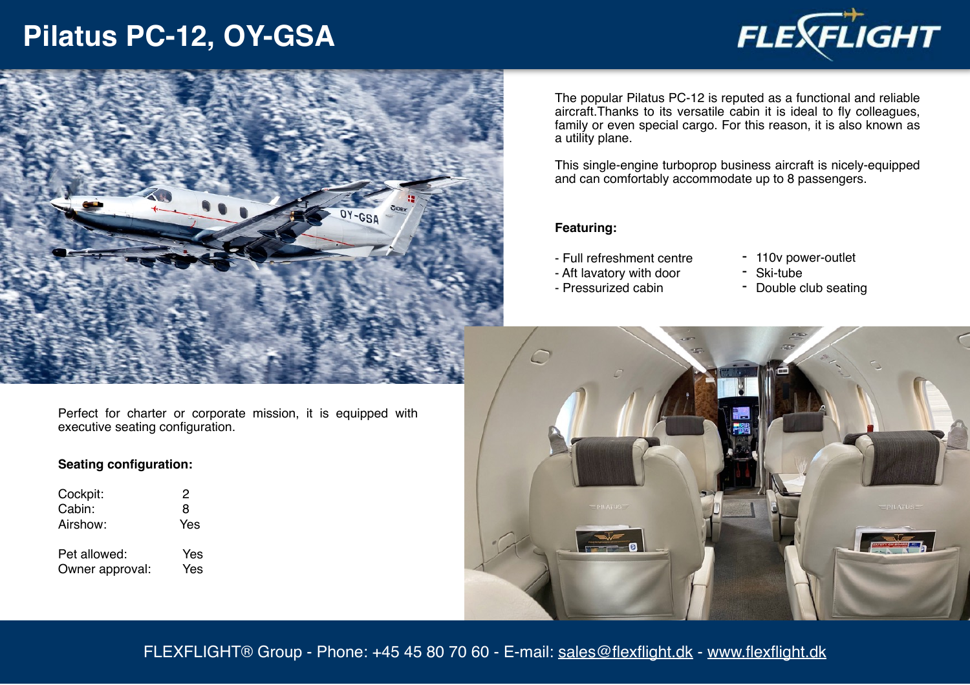# **Pilatus PC-12, OY-GSA**





The popular Pilatus PC-12 is reputed as a functional and reliable aircraft.Thanks to its versatile cabin it is ideal to fly colleagues, family or even special cargo. For this reason, it is also known as a utility plane.

This single-engine turboprop business aircraft is nicely-equipped and can comfortably accommodate up to 8 passengers.

#### **Featuring:**

- Full refreshment centre
- 110v power-outlet - Ski-tube
- Aft lavatory with door - Pressurized cabin
- Double club seating



Perfect for charter or corporate mission, it is equipped with executive seating configuration.

### **Seating configuration:**

| Cockpit:                        | 2          |
|---------------------------------|------------|
| Cabin:                          | 8          |
| Airshow:                        | Yes        |
| Pet allowed:<br>Owner approval: | Yes<br>Yes |
|                                 |            |

FLEXFLIGHT® Group - Phone: +45 45 80 70 60 - E-mail: [sales@flexflight.dk](mailto:sales@flexflight.dk) - [www.flexflight.dk](http://www.flexflight.dk)